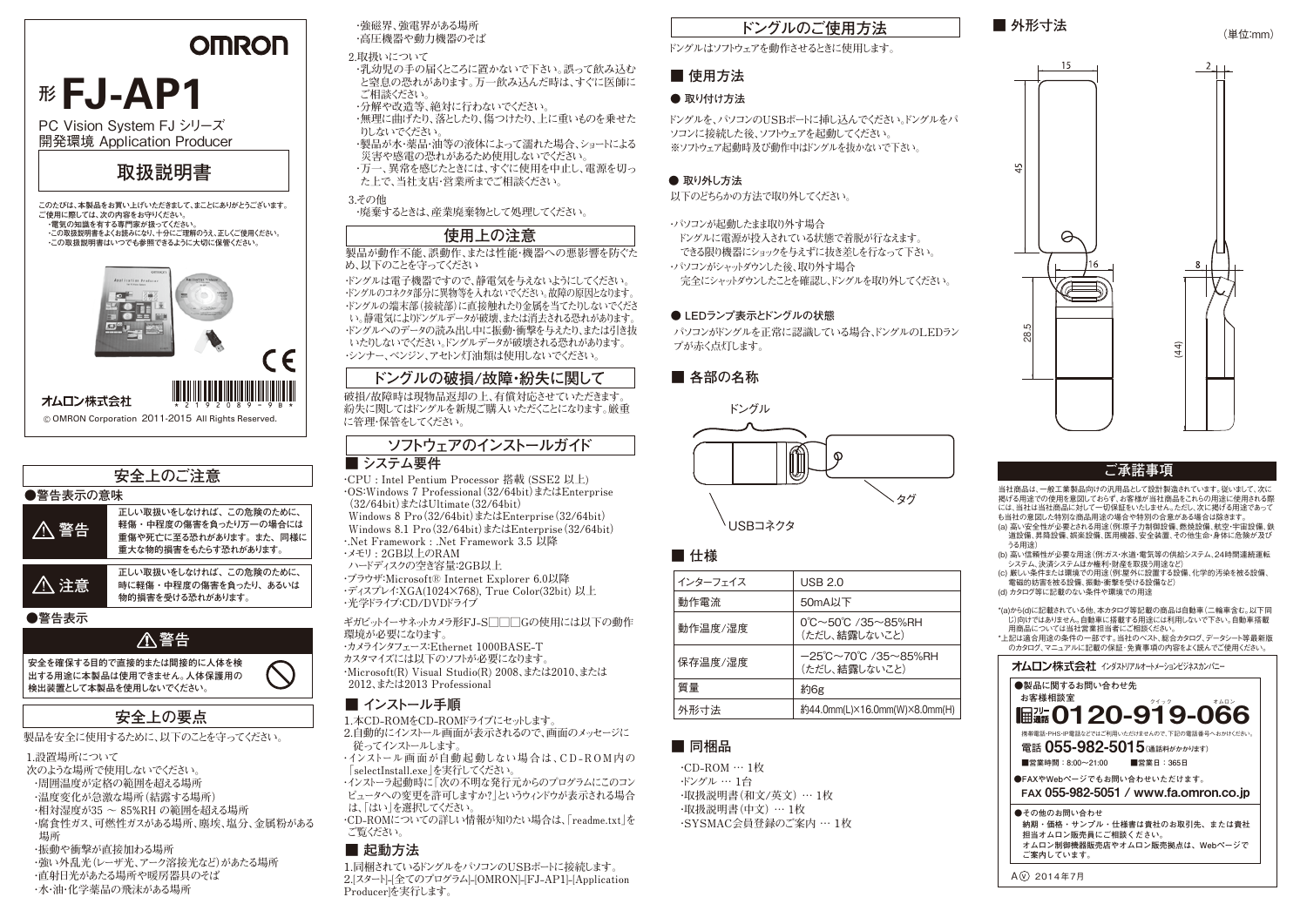# **OMRON**

# **<sup>形</sup> FJ-AP1**

PC Vision System FJ シリーズ 開発環境 Application Producer

# **取扱説明書**

**このたびは、本製品をお買い上げいただきまして、まことにありがとうございます。 ご使用に際しては、次の内容をお守りください。 ・電気の知識を有する専門家が扱ってください。 ・この取扱説明書をよくお読みになり、十分にご理解のうえ、正しくご使用ください。 ・この取扱説明書はいつでも参照できるように大切に保管ください。**



### **安全上の要点 ●警告表示の意味 正しい取扱いをしなければ、この危険のために、 時に軽傷・中程度の傷害を負ったり、あるいは 物的損害を受ける恐れがあります。 注意 正しい取扱いをしなければ、この危険のために、 軽傷・中程度の傷害を負ったり万一の場合には 重傷や死亡に至る恐れがあります。また、同様に 重大な物的損害をもたらす恐れがあります。 警告 ●警告表示 安全を確保する目的で直接的または間接的に人体を検 出する用途に本製品は使用できません。人体保護用の 検出装置として本製品を使用しないでください。 警告 安全上のご注意**

**製品を安全に使用するために、以下のことを守ってください。**

**1.設置場所について 次のような場所で使用しないでください。 ・周囲温度が定格の範囲を超える場所 ・温度変化が急激な場所(結露する場所) ・相対湿度が35 ~ 85%RH の範囲を超える場所 ・腐食性ガス、可燃性ガスがある場所、塵埃、塩分、金属粉がある 場所 ・振動や衝撃が直接加わる場所 ・強い外乱光(レーザ光、アーク溶接光など)があたる場所 ・直射日光があたる場所や暖房器具のそば**

**・水・油・化学薬品の飛沫がある場所**

**・強磁界、強電界がある場所 ・高圧機器や動力機器のそば**

**2.取扱いについて**

**・乳幼児の手の届くところに置かないで下さい。誤って飲み込む と窒息の恐れがあります。万一飲み込んだ時は、すぐに医師に ご相談ください。 ・分解や改造等、絶対に行わないでください。**

- **・無理に曲げたり、落としたり、傷つけたり、上に重いものを乗せた りしないでください。**
- **・製品が水・薬品・油等の液体によって濡れた場合、ショートによる 災害や感電の恐れがあるため使用しないでください。**
- **・万一、異常を感じたときには、すぐに使用を中止し、電源を切っ た上で、当社支店・営業所までご相談ください。**

**3.その他 ・廃棄するときは、産業廃棄物として処理してください。**

# **使用上の注意**

### **製品が動作不能、誤動作、または性能・機器への悪影響を防ぐた め、以下のことを守ってください**

**・ドングルは電子機器ですので、静電気を与えないようにしてください。 ・ドングルのコネクタ部分に異物等を入れないでください。故障の原因となります。 ・ドングルの端末部(接続部)に直接触れたり金属を当てたりしないでくださ い。静電気によりドングルデータが破壊、または消去される恐れがあります。 ・ドングルへのデータの読み出し中に振動・衝撃を与えたり、または引き抜 いたりしないでください。ドングルデータが破壊される恐れがあります。 ・シンナー、ベンジン、アセトン灯油類は使用しないでください。**

# **ドングルの破損/故障・紛失に関して**

**破損/故障時は現物品返却の上、有償対応させていただきます。** \* <sup>2 1 9</sup> 2 0 8 9 - 9 B \* | 紛失に関してはドングルを新規ご購入いただくことになります。厳重 **ドングル に管理・保管をしてください。**

# **ソフトウェアのインストールガイド**

### **■ システム要件**

**・CPU : Intel Pentium Processor 搭載 (SSE2 以上) ・OS:Windows 7 Professional(32/64bit)またはEnterprise (32/64bit)またはUltimate(32/64bit) Windows 8 Pro(32/64bit)またはEnterprise(32/64bit) Windows 8.1 Pro(32/64bit)またはEnterprise(32/64bit) ・.Net Framework : .Net Framework 3.5 以降 ・メモリ : 2GB以上のRAM**

**ハードディスクの空き容量:2GB以上**

**・ブラウザ:Microsoft® Internet Explorer 6.0以降 ・ディスプレイ:XGA(1024×768), True Color(32bit) 以上 ・光学ドライブ:CD/DVDドライブ**

**ギガビットイーサネットカメラ形FJ-S□□□Gの使用には以下の動作 環境が必要になります。 ・カメラインタフェース:Ethernet 1000BASE-T**

**カスタマイズには以下のソフトが必要になります。 ・Microsoft(R) Visual Studio(R) 2008、または2010、または 2012、または2013 Professional**

## **■ インストール手順**

**1.本CD-ROMをCD-ROMドライブにセットします。 2.自動的にインストール画面が表示されるので、画面のメッセージに 従ってインストールします。**

- **・インストール画 面が自動 起 動しない場 合は、C D R O M 内の 「selectInstall.exe」を実行してください。**
- **・インストーラ起動時に「次の不明な発行元からのプログラムにこのコン ピュータへの変更を許可しますか?」というウィンドウが表示される場合 は、「はい」を選択してください。**

**・CD-ROMについての詳しい情報が知りたい場合は、「readme.txt」を ご覧ください。**

## **■ 起動方法**

**1.同梱されているドングルをパソコンのUSBポートに接続します。 2.[スタート]-[全てのプログラム]-[OMRON]-[FJ-AP1]-[Application Producer]を実行します。**

# **ドングルのご使用方法**

### **ドングルはソフトウェアを動作させるときに使用します。**

# **■ 使用方法**

### **● 取り付け方法**

**ドングルを、パソコンのUSBポートに挿し込んでください。ドングルをパ ソコンに接続した後、ソフトウェアを起動してください。 ※ソフトウェア起動時及び動作中はドングルを抜かないで下さい。**

## **● 取り外し方法**

**以下のどちらかの方法で取り外してください。**

**・パソコンが起動したまま取り外す場合**

 **ドングルに電源が投入されている状態で着脱が行なえます。**

 **できる限り機器にショックを与えずに抜き差しを行なって下さい。 ・パソコンがシャットダウンした後、取り外す場合**

 **完全にシャットダウンしたことを確認し、ドングルを取り外してください。**

# **● LEDランプ表示とドングルの状態**

**パソコンがドングルを正常に認識している場合、ドングルのLEDラン プが赤く点灯します。**

**■ 各部の名称**





# **■ 仕様**

| USB 2.0                                                                  |
|--------------------------------------------------------------------------|
| 50mA以下                                                                   |
| $0^{\circ}$ C $\sim$ 50 $^{\circ}$ C /35 $\sim$ 85%RH<br>(ただし、結露しないこと)   |
| $-25^{\circ}$ C $\sim$ 70 $^{\circ}$ C /35 $\sim$ 85%RH<br>(ただし、結露しないこと) |
| 約6g                                                                      |
| 約44.0mm(L)×16.0mm(W)×8.0mm(H)                                            |
|                                                                          |

# **■ 同梱品**

**・CD-ROM … 1枚 ・ドングル … 1台 ・取扱説明書(和文/英文) … 1枚 ・取扱説明書(中文) … 1枚 ・SYSMAC会員登録のご案内 … 1枚**



 $\mathbf{u}$ 



(単位:mm)

## **ご承諾事項**

当社商品は、一般工業製品向けの汎用品として設計製造されています。従いまして、次に 掲げる用途での使用を意図しておらず、お客様が当社商品をこれらの用途に使用される際 には、当社は当社商品に対して一切保証をいたしません。ただし、次に掲げる用途であって も当社の意図した特別な商品用途の場合や特別の合意がある場合は除きます。 (a) 高い安全性が必要とされる用途(例:原子力制御設備、燃焼設備、航空・宇宙設備、鉄

道設備、昇降設備、娯楽設備、医用機器、安全装置、その他生命・身体に危険が及び うる用途) (b) 高い信頼性が必要な用途(例:ガス・水道・電気等の供給システム、24時間連続運転

システム、決済システムほか権利・財産を取扱う用途など) (c) 厳しい条件または環境での用途(例:屋外に設置する設備、化学的汚染を被る設備、

電磁的妨害を被る設備、振動・衝撃を受ける設備など) (d) カタログ等に記載のない条件や環境での用途

\*(a)から(d)に記載されている他、本カタログ等記載の商品は自動車(二輪車含む。以下同 」。。<br>|:)向けではありません。自動車に搭載する用途には利用しないで下さい。自動車搭載 D)向け ではめりょとり。日動手に指載する用途には竹<br>- 田商品については当社堂業相当者にご相談ください。

\*上記は適合用途の条件の一部です。当社のベスト、総合カタログ、データシート等最新版 - abは過日用途の未けり、 ab 、?。当せの 、 いい ね カンロノ、 ノ ハ キ取利<br>- のカタログ マニュアルに記載の保証・免責事項の内容をよく読んでご使用ください。

### **オムロン株式会社** インダストリアルオートメーションドジネスカンパニー